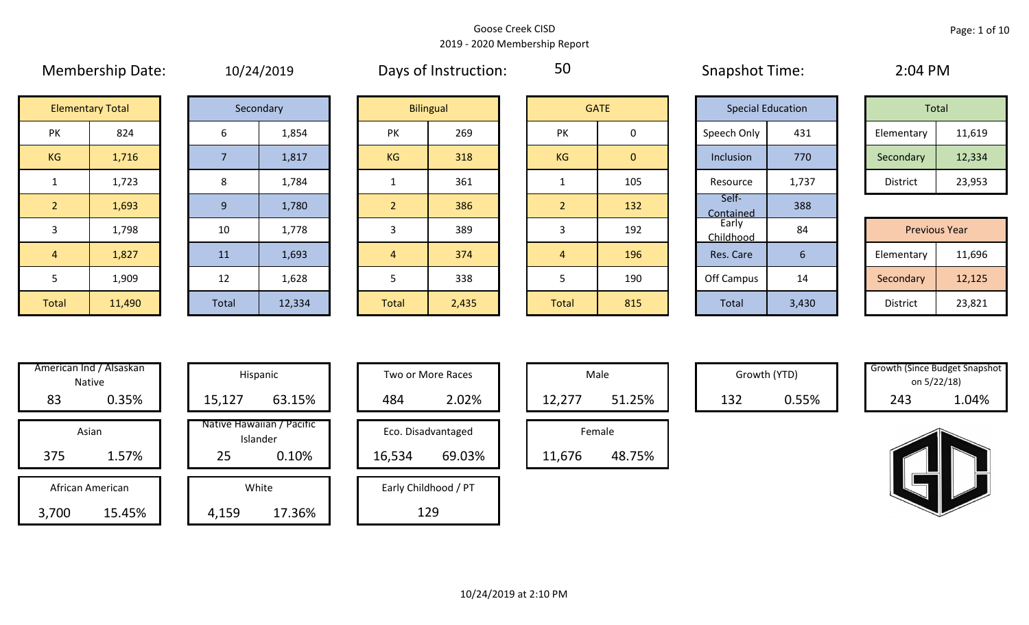50

# **Elementary Total**

| エU/ ムサ/ ムUエ |
|-------------|
| Secondary   |

| Secondary    |        |  |  |  |  |
|--------------|--------|--|--|--|--|
| 6            | 1,854  |  |  |  |  |
| 7            | 1,817  |  |  |  |  |
| 8            | 1,784  |  |  |  |  |
| 9            | 1,780  |  |  |  |  |
| 10           | 1,778  |  |  |  |  |
| 11           | 1,693  |  |  |  |  |
| 12           | 1,628  |  |  |  |  |
| <b>Total</b> | 12,334 |  |  |  |  |

|                | <b>Elementary Total</b> |       | Secondary | <b>Bilingual</b> |       | <b>GATE</b>    |              | <b>Special Education</b> |       |  | Total                |        |  |
|----------------|-------------------------|-------|-----------|------------------|-------|----------------|--------------|--------------------------|-------|--|----------------------|--------|--|
| PK             | 824                     | 6     | 1,854     | <b>PK</b>        | 269   | <b>PK</b>      | 0            | Speech Only              | 431   |  | Elementary           | 11,619 |  |
| KG             | 1,716                   |       | 1,817     | KG               | 318   | KG             | $\mathbf{0}$ | Inclusion                | 770   |  | Secondary            | 12,334 |  |
| $\mathbf{1}$   | 1,723                   | 8     | 1,784     |                  | 361   |                | 105          | Resource                 | 1,737 |  | District             | 23,953 |  |
| $\overline{2}$ | 1,693                   | 9     | 1,780     | $\overline{2}$   | 386   | $\overline{2}$ | 132          | Self-<br>Contained       | 388   |  |                      |        |  |
| $\overline{3}$ | 1,798                   | 10    | 1,778     | 3                | 389   | 3              | 192          | Early<br>Childhood       | 84    |  | <b>Previous Year</b> |        |  |
| $\overline{4}$ | 1,827                   | 11    | 1,693     | $\overline{4}$   | 374   | 4              | 196          | Res. Care                | 6     |  | Elementary           | 11,696 |  |
| 5              | 1,909                   | 12    | 1,628     |                  | 338   |                | 190          | Off Campus               | 14    |  | Secondary            | 12,125 |  |
| Total          | 11,490                  | Total | 12,334    | Total            | 2,435 | Total          | 815          | Total                    | 3,430 |  | District             | 23,821 |  |

| <b>GATE</b>    |                |  |  |  |  |  |
|----------------|----------------|--|--|--|--|--|
| PK             | 0              |  |  |  |  |  |
| KG             | $\overline{0}$ |  |  |  |  |  |
| 1              | 105            |  |  |  |  |  |
| $\overline{2}$ | 132            |  |  |  |  |  |
| 3              | 192            |  |  |  |  |  |
| 4              | 196            |  |  |  |  |  |
| 5              | 190            |  |  |  |  |  |
| <b>Total</b>   | 815            |  |  |  |  |  |

| <b>Special Education</b> |       |  | <b>Total</b>    |                      |
|--------------------------|-------|--|-----------------|----------------------|
| Speech Only              | 431   |  | Elementary      | 11,619               |
| Inclusion                | 770   |  | Secondary       | 12,334               |
| Resource                 | 1,737 |  | <b>District</b> | 23,953               |
| Self-<br>Contained       | 388   |  |                 |                      |
| Early<br>Childhood       | 84    |  |                 | <b>Previous Year</b> |
| Res. Care                | 6     |  | Elementary      | 11,696               |
| Off Campus               | 14    |  | Secondary       | 12,125               |
| <b>Total</b>             | 3,430 |  | <b>District</b> | 23,821               |

Membership Date:  $10/24/2019$  Days of Instruction: 50 Snapshot Time: 2:04 PM

| Total      |        |  |  |  |  |  |  |
|------------|--------|--|--|--|--|--|--|
| Elementary | 11,619 |  |  |  |  |  |  |
| Secondary  | 12,334 |  |  |  |  |  |  |
| District   | 23,953 |  |  |  |  |  |  |

| <b>Previous Year</b> |        |  |  |  |  |  |
|----------------------|--------|--|--|--|--|--|
| Elementary           | 11,696 |  |  |  |  |  |
| Secondary            | 12,125 |  |  |  |  |  |
| <b>District</b>      | 23,821 |  |  |  |  |  |

|       | American Ind / Alsaskan<br><b>Native</b> |        | Hispanic                              |
|-------|------------------------------------------|--------|---------------------------------------|
| 83    | 0.35%                                    | 15,127 | 63.15%                                |
|       | Asian                                    |        | Native Hawaiian / Pacific<br>Islander |
| 375   | 1.57%                                    | 25     | 0.10%                                 |
|       | African American                         |        | White                                 |
| 3,700 | 15.45%                                   | 4,159  | 17.36%                                |

|      | merican Ind / Alsaskan<br>Native |        | Hispanic                              | Two or More Races |                      | Male   |        | Growth (YTD) |       | <b>Growth (Since Budget Snaps)</b><br>on 5/22/18) |       |
|------|----------------------------------|--------|---------------------------------------|-------------------|----------------------|--------|--------|--------------|-------|---------------------------------------------------|-------|
| 83   | 0.35%                            | 15,127 | 63.15%                                | 484               | 2.02%                | 12,277 | 51.25% | 132          | 0.55% | 243                                               | 1.04% |
|      | Asian                            |        | Native Hawaiian / Pacific<br>Islander |                   | Eco. Disadvantaged   |        | Female |              |       |                                                   |       |
| 375  | 1.57%                            | 25     | 0.10%                                 | 16,534            | 69.03%               | 11,676 | 48.75% |              |       |                                                   |       |
|      | African American                 |        | White                                 |                   | Early Childhood / PT |        |        |              |       |                                                   |       |
| ,700 | 15.45%                           | 4,159  | 17.36%                                |                   | 129                  |        |        |              |       |                                                   |       |

| Hispanic                       |  |        | Two or More Races    |        | Male   |
|--------------------------------|--|--------|----------------------|--------|--------|
| 63.15%                         |  | 484    | 2.02%                | 12,277 |        |
| lawaiian / Pacific<br>Islander |  |        | Eco. Disadvantaged   |        | Female |
| 0.10%                          |  | 16,534 | 69.03%               | 11,676 |        |
| White                          |  |        | Early Childhood / PT |        |        |
| 17.36%                         |  |        | 129                  |        |        |

| Male   |        |  |  |  |  |  |
|--------|--------|--|--|--|--|--|
| 12,277 | 51.25% |  |  |  |  |  |
| Female |        |  |  |  |  |  |
| 11,676 | 48.75% |  |  |  |  |  |

| Growth (Since Budget Snapshot |       |  |  |  |  |  |
|-------------------------------|-------|--|--|--|--|--|
| on 5/22/18)                   |       |  |  |  |  |  |
| 243                           | 1.04% |  |  |  |  |  |

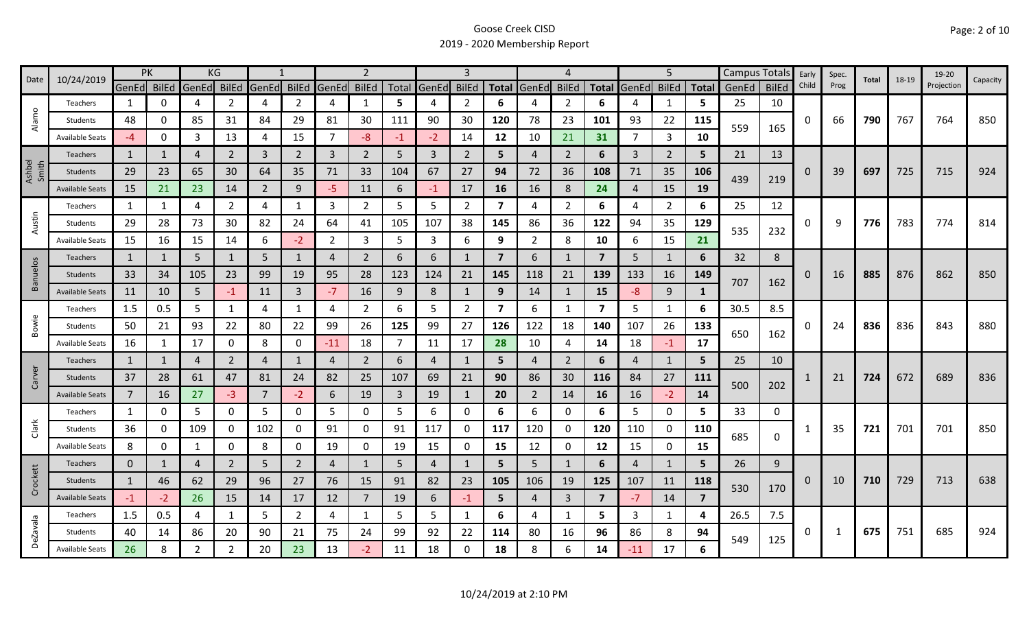|                 | 10/24/2019             |                | PK           |                | KG             |                |                |                | $\mathcal{P}$  |     |                   | 3              |                         |                | 4              |                         |                | 5              |                |       | Campus Totals | Early    | Spec. | Total | 18-19 | 19-20      |          |
|-----------------|------------------------|----------------|--------------|----------------|----------------|----------------|----------------|----------------|----------------|-----|-------------------|----------------|-------------------------|----------------|----------------|-------------------------|----------------|----------------|----------------|-------|---------------|----------|-------|-------|-------|------------|----------|
| Date            |                        | GenEd BilEd    |              | GenEd          | BilEd          | GenEd BilEd    |                | GenEd          | <b>BilEd</b>   |     | Total GenEd BilEd |                |                         | Total GenEd    | <b>BilEd</b>   | <b>Total</b>            | GenEd          | <b>BilEd</b>   | <b>Total</b>   | GenEd | <b>BilEd</b>  | Child    | Prog  |       |       | Projection | Capacity |
|                 | Teachers               | 1              | 0            | 4              | 2              | 4              | $\overline{2}$ | 4              | 1              | 5   | 4                 | 2              | 6                       | 4              | 2              | 6                       |                | 1              | 5              | 25    | 10            |          |       |       |       |            |          |
| Alamo           | Students               | 48             | U            | 85             | 31             | 84             | 29             | 81             | 30             | 111 | 90                | 30             | 120                     | 78             | 23             | 101                     | 93             | 22             | 115            | 559   |               | $\Omega$ | 66    | 790   | 767   | 764        | 850      |
|                 | <b>Available Seats</b> | $-4$           | 0            | 3              | 13             | 4              | 15             | 7              | -8             | -1  | $-2$              | 14             | 12                      | 10             | 21             | 31                      | 7              | 3              | 10             |       | 165           |          |       |       |       |            |          |
|                 | Teachers               | 1              | 1            | 4              | $\overline{2}$ | 3              | $2^{\circ}$    | 3              | $\overline{2}$ | 5   | 3                 | $\overline{2}$ | 5                       | $\overline{4}$ | $\overline{2}$ | 6                       | 3              | $\overline{2}$ | 5              | 21    | 13            |          |       |       |       |            |          |
| Ashbel<br>Smith | Students               | 29             | 23           | 65             | 30             | 64             | 35             | 71             | 33             | 104 | 67                | 27             | 94                      | 72             | 36             | 108                     | 71             | 35             | 106            |       |               | 0        | 39    | 697   | 725   | 715        | 924      |
|                 | <b>Available Seats</b> | 15             | 21           | 23             | 14             | $\overline{2}$ | 9              | -5             | 11             | 6   | $-1$              | 17             | 16                      | 16             | 8              | 24                      | $\overline{4}$ | 15             | 19             | 439   | 219           |          |       |       |       |            |          |
|                 | Teachers               | 1              | 1            | 4              | $\overline{2}$ | 4              | $\mathbf{1}$   | 3              | $\overline{2}$ | 5   | 5                 | $\overline{2}$ | 7                       | 4              | $\overline{2}$ | 6                       | 4              | 2              | 6              | 25    | 12            |          |       |       |       |            |          |
| Austin          | Students               | 29             | 28           | 73             | 30             | 82             | 24             | 64             | 41             | 105 | 107               | 38             | 145                     | 86             | 36             | 122                     | 94             | 35             | 129            |       |               | 0        | 9     | 776   | 783   | 774        | 814      |
|                 | <b>Available Seats</b> | 15             | 16           | 15             | 14             | 6              | $-2$           | $\overline{2}$ | 3              | 5   | 3                 | 6              | 9                       | $\overline{2}$ | 8              | 10                      | 6              | 15             | 21             | 535   | 232           |          |       |       |       |            |          |
|                 | Teachers               | $\mathbf{1}$   | 1            | 5              | 1              | 5              | $\mathbf{1}$   | 4              | $\overline{2}$ | 6   | 6                 | 1              | $\overline{7}$          | 6              | $\mathbf{1}$   | $\overline{7}$          | 5              | $\mathbf{1}$   | 6              | 32    | 8             |          |       |       |       |            |          |
| <b>Banuelos</b> | Students               | 33             | 34           | 105            | 23             | 99             | 19             | 95             | 28             | 123 | 124               | 21             | 145                     | 118            | 21             | 139                     | 133            | 16             | 149            |       |               | 0        | 16    | 885   | 876   | 862        | 850      |
|                 | <b>Available Seats</b> | 11             | 10           | 5              | -1             | 11             | 3              | -7             | 16             | 9   | 8                 | 1              | 9                       | 14             | -1             | 15                      | -8             | 9              | $\mathbf{1}$   | 707   | 162           |          |       |       |       |            |          |
|                 | Teachers               | 1.5            | 0.5          | 5              |                | 4              | 1              | 4              | $\overline{2}$ | 6   | 5                 | $\overline{2}$ | $\overline{\mathbf{z}}$ | 6              | -1             | $\overline{\mathbf{z}}$ | 5              | 1              | 6              | 30.5  | 8.5           |          |       |       |       |            |          |
| Bowie           | Students               | 50             | 21           | 93             | 22             | 80             | 22             | 99             | 26             | 125 | 99                | 27             | 126                     | 122            | 18             | 140                     | 107            | 26             | 133            |       |               | 0        | 24    | 836   | 836   | 843        | 880      |
|                 | <b>Available Seats</b> | 16             | 1            | 17             | 0              | 8              | 0              | $-11$          | 18             | 7   | 11                | 17             | 28                      | 10             | 4              | 14                      | 18             | $-1$           | 17             | 650   | 162           |          |       |       |       |            |          |
|                 | <b>Teachers</b>        | $\mathbf{1}$   | $\mathbf{1}$ | 4              | $\overline{2}$ | $\overline{4}$ | $\mathbf{1}$   | 4              | $\overline{2}$ | 6   | $\overline{a}$    | $\mathbf{1}$   | 5                       | $\overline{4}$ | $\overline{2}$ | 6                       | 4              | $\mathbf{1}$   | 5              | 25    | 10            |          |       |       |       |            |          |
| Carver          | Students               | 37             | 28           | 61             | 47             | 81             | 24             | 82             | 25             | 107 | 69                | 21             | 90                      | 86             | 30             | 116                     | 84             | 27             | 111            |       |               |          | 21    | 724   | 672   | 689        | 836      |
|                 | <b>Available Seats</b> | $\overline{7}$ | 16           | 27             | $-3$           | $\overline{7}$ | $-2$           | 6              | 19             | 3   | 19                | 1              | 20                      | $\overline{2}$ | 14             | 16                      | 16             | $-2$           | 14             | 500   | 202           |          |       |       |       |            |          |
|                 | Teachers               | 1              | 0            | 5              | 0              | 5              | 0              | 5              | 0              | 5   | 6                 | 0              | 6                       | 6              | 0              | 6                       | 5              | 0              | 5              | 33    | 0             |          |       |       |       |            |          |
| Clark           | Students               | 36             | 0            | 109            | 0              | 102            | 0              | 91             | 0              | 91  | 117               | 0              | 117                     | 120            | 0              | 120                     | 110            | 0              | 110            |       |               |          | 35    | 721   | 701   | 701        | 850      |
|                 | <b>Available Seats</b> | 8              | 0            | 1              | 0              | 8              | 0              | 19             | 0              | 19  | 15                | 0              | 15                      | 12             | 0              | 12                      | 15             | 0              | 15             | 685   | 0             |          |       |       |       |            |          |
|                 | Teachers               | $\mathbf{0}$   | 1            | 4              | 2              | 5              | $\overline{2}$ | 4              | $\mathbf{1}$   | 5   | 4                 | 1              | 5                       | 5              | 1              | 6                       | 4              | $\mathbf{1}$   | 5.             | 26    | 9             |          |       |       |       |            |          |
| Crockett        | Students               | $\mathbf{1}$   | 46           | 62             | 29             | 96             | 27             | 76             | 15             | 91  | 82                | 23             | 105                     | 106            | 19             | 125                     | 107            | 11             | 118            |       |               | 0        | 10    | 710   | 729   | 713        | 638      |
|                 | <b>Available Seats</b> | $-1$           | $-2$         | 26             | 15             | 14             | 17             | 12             | $\overline{7}$ | 19  | 6                 | $-1$           | 5                       | 4              | $\overline{3}$ | $\overline{7}$          | $-7$           | 14             | $\overline{7}$ | 530   | 170           |          |       |       |       |            |          |
|                 | Teachers               | 1.5            | 0.5          | 4              | 1              | 5              | $\overline{2}$ | 4              | 1              | 5   | 5                 | 1              | 6                       | $\overline{4}$ | 1              | 5.                      | 3              | 1              | 4              | 26.5  | 7.5           |          |       |       |       |            |          |
| <b>DeZavala</b> | Students               | 40             | 14           | 86             | 20             | 90             | 21             | 75             | 24             | 99  | 92                | 22             | 114                     | 80             | 16             | 96                      | 86             | 8              | 94             |       |               | 0        | 1     | 675   | 751   | 685        | 924      |
|                 | <b>Available Seats</b> | 26             | 8            | $\overline{2}$ | $\overline{2}$ | 20             | 23             | 13             | $-2$           | 11  | 18                | 0              | 18                      | 8              | 6              | 14                      | $-11$          | 17             | 6              | 549   | 125           |          |       |       |       |            |          |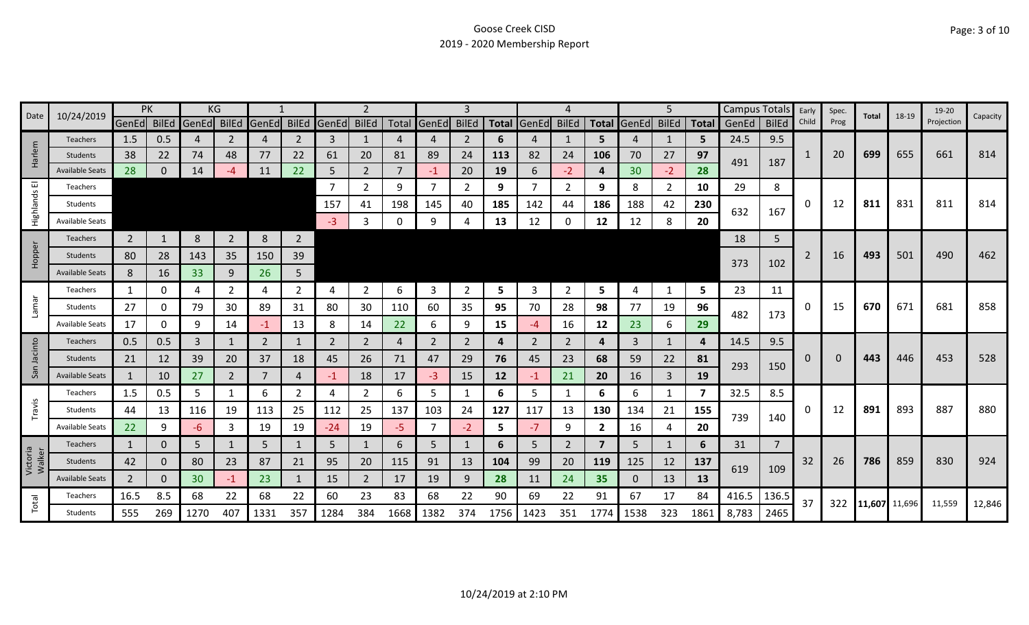|                    |                        | PK             |              |       | KG             |       |                |                   | $\mathcal{P}$  |      |                | 3              |              |                |                |                |                   | 5              |       | Campus Totals |                | Early | Spec. |              | 18-19  | 19-20      |          |
|--------------------|------------------------|----------------|--------------|-------|----------------|-------|----------------|-------------------|----------------|------|----------------|----------------|--------------|----------------|----------------|----------------|-------------------|----------------|-------|---------------|----------------|-------|-------|--------------|--------|------------|----------|
| Date               | 10/24/2019             | GenEd BilEd    |              | GenEd | BilEd          | GenEd |                | BilEd GenEd BilEd |                |      | Total GenEd    | <b>BilEd</b>   | <b>Total</b> | GenEd          | <b>BilEd</b>   |                | Total GenEd BilEd |                | Total | GenEd         | <b>BilEd</b>   | Child | Prog  | <b>Total</b> |        | Projection | Capacity |
|                    | <b>Teachers</b>        | 1.5            | 0.5          | 4     | 2              | 4     | 2              | 3                 | $\mathbf{1}$   |      | 4              | 2              | 6            | 4              | 1              | 5.             | 4                 | 1              | 5     | 24.5          | 9.5            |       |       |              |        |            |          |
| Harlem             | Students               | 38             | 22           | 74    | 48             | 77    | 22             | 61                | 20             | 81   | 89             | 24             | 113          | 82             | 24             | 106            | 70                | 27             | 97    | 491           | 187            | 1     | 20    | 699          | 655    | 661        | 814      |
|                    | <b>Available Seats</b> | 28             | $\Omega$     | 14    | -4             | 11    | 22             | 5                 | $\overline{2}$ |      | $-1$           | 20             | 19           | 6              | $-2$           | 4              | 30                | $-2$           | 28    |               |                |       |       |              |        |            |          |
| ш                  | Teachers               |                |              |       |                |       |                |                   | $\overline{2}$ | 9    | $\overline{7}$ | 2              | 9            |                | $\overline{2}$ | 9              | 8                 | $\overline{2}$ | 10    | 29            | 8              |       |       |              |        |            |          |
| Highlands          | Students               |                |              |       |                |       |                | 157               | 41             | 198  | 145            | 40             | 185          | 142            | 44             | 186            | 188               | 42             | 230   | 632           | 167            | 0     | 12    | 811          | 831    | 811        | 814      |
|                    | <b>Available Seats</b> |                |              |       |                |       |                | $-3$              | 3              | 0    | 9              |                | 13           | 12             | 0              | 12             | 12                | 8              | 20    |               |                |       |       |              |        |            |          |
|                    | <b>Teachers</b>        | $\overline{2}$ | $\mathbf{1}$ | 8     | $\overline{2}$ | 8     | $\overline{2}$ |                   |                |      |                |                |              |                |                |                |                   |                |       | 18            | 5              |       |       |              |        |            |          |
| Hopper             | Students               | 80             | 28           | 143   | 35             | 150   | 39             |                   |                |      |                |                |              |                |                |                |                   |                |       |               |                | 2     | 16    | 493          | 501    | 490        | 462      |
|                    | <b>Available Seats</b> | 8              | 16           | 33    | 9              | 26    | 5 <sup>1</sup> |                   |                |      |                |                |              |                |                |                |                   |                |       | 373           | 102            |       |       |              |        |            |          |
|                    | Teachers               | 1              | 0            | 4     |                | 4     | $\overline{2}$ | 4                 | 2              | 6    | 3              | $\overline{2}$ | 5            | 3              | 2              | 5              | 4                 | 1              | 5     | 23            | 11             |       |       |              |        |            |          |
| Lamar              | Students               | 27             | 0            | 79    | 30             | 89    | 31             | 80                | 30             | 110  | 60             | 35             | 95           | 70             | 28             | 98             | 77                | 19             | 96    |               |                | 0     | 15    | 670          | 671    | 681        | 858      |
|                    | <b>Available Seats</b> | 17             | 0            | 9     | 14             | -1    | 13             | 8                 | 14             | 22   | 6              | 9              | 15           | -4             | 16             | 12             | 23                | 6              | 29    | 482           | 173            |       |       |              |        |            |          |
|                    | <b>Teachers</b>        | 0.5            | 0.5          | 3     |                | 2     | $\mathbf{1}$   | 2                 | $\overline{2}$ | 4    | 2              | 2              | 4            | $\overline{2}$ | 2              | 4              | 3                 | $\mathbf{1}$   | 4     | 14.5          | 9.5            |       |       |              |        |            |          |
| Jacinto            | Students               | 21             | 12           | 39    | 20             | 37    | 18             | 45                | 26             | 71   | 47             | 29             | 76           | 45             | 23             | 68             | 59                | 22             | 81    |               |                | 0     |       | 443          | 446    | 453        | 528      |
| San                | <b>Available Seats</b> | 1              | 10           | 27    | $\overline{2}$ | 7     | 4              | $-1$              | 18             | 17   | $-3$           | 15             | 12           | -1             | 21             | 20             | 16                | 3              | 19    | 293           | 150            |       |       |              |        |            |          |
|                    | Teachers               | 1.5            | 0.5          | 5     |                | 6     | $\overline{2}$ | 4                 | $\overline{2}$ | 6    | 5              | -1             | 6            | 5              | $\mathbf{1}$   | 6              | 6                 | $\mathbf{1}$   | 7     | 32.5          | 8.5            |       |       |              |        |            |          |
| Travis             | Students               | 44             | 13           | 116   | 19             | 113   | 25             | 112               | 25             | 137  | 103            | 24             | 127          | 117            | 13             | 130            | 134               | 21             | 155   |               |                | 0     | 12    | 891          | 893    | 887        | 880      |
|                    | <b>Available Seats</b> | 22             | 9            | -6    | 3              | 19    | 19             | $-24$             | 19             | -5   | $\overline{7}$ | $-2$           | 5            | $-7$           | 9              | $\overline{2}$ | 16                | 4              | 20    | 739           | 140            |       |       |              |        |            |          |
|                    | Teachers               | $\mathbf{1}$   | $\mathbf{0}$ | 5     |                | 5     |                | 5                 | $\mathbf{1}$   | 6    | 5              |                | 6            | 5              | $\overline{2}$ | $\overline{7}$ | 5                 | $\mathbf{1}$   | 6     | 31            | $\overline{7}$ |       |       |              |        |            |          |
| Victoria<br>Walker | Students               | 42             | $\mathbf{0}$ | 80    | 23             | 87    | 21             | 95                | 20             | 115  | 91             | 13             | 104          | 99             | 20             | 119            | 125               | 12             | 137   |               |                | 32    | 26    | 786          | 859    | 830        | 924      |
|                    | <b>Available Seats</b> | $\overline{2}$ | $\Omega$     | 30    | $-1$           | 23    | $\mathbf{1}$   | 15                | $2^{\circ}$    | 17   | 19             | 9              | 28           | 11             | 24             | 35             | 0                 | 13             | 13    | 619           | 109            |       |       |              |        |            |          |
|                    | Teachers               | 16.5           | 8.5          | 68    | 22             | 68    | 22             | 60                | 23             | 83   | 68             | 22             | 90           | 69             | 22             | 91             | 67                | 17             | 84    | 416.5         | 136.5          |       |       |              |        |            |          |
| Total              | Students               | 555            | 269          | 1270  | 407            | 1331  | 357            | 1284              | 384            | 1668 | 1382           | 374            | 1756         | 1423           | 351            | 1774           | 1538              | 323            | 1861  | 8,783         | 2465           | 37    | 322   | 11,607       | 11,696 | 11,559     | 12,846   |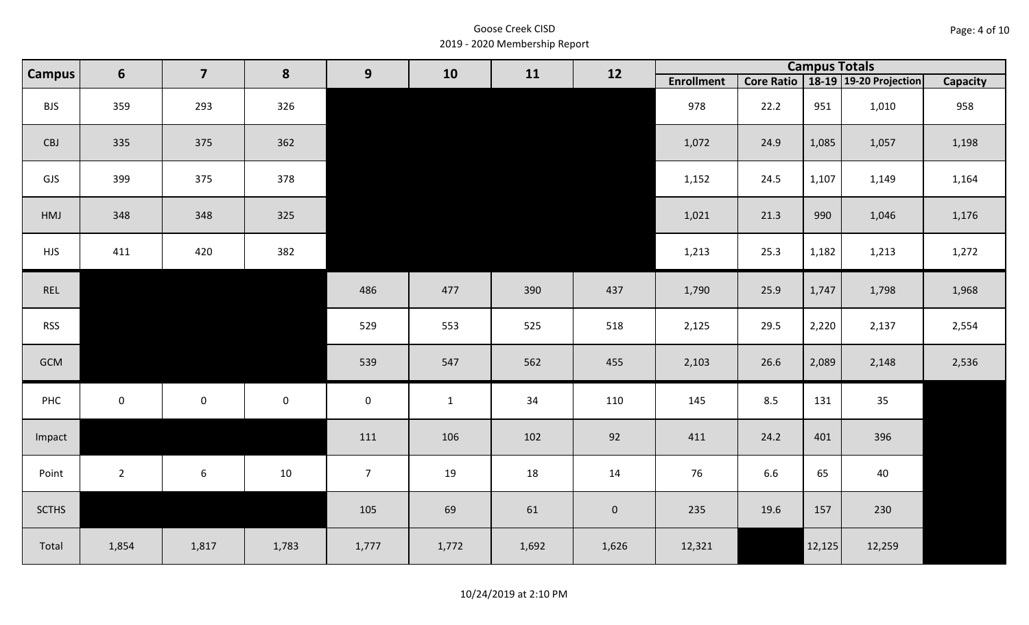| Page: 4 of 10 |  |
|---------------|--|
|---------------|--|

| <b>Campus</b> | $6\phantom{1}$ | $\overline{\mathbf{z}}$ | 8           | 9                   | 10           | 11    | 12          |                   | <b>Campus Totals</b><br>Core Ratio   18-19   19-20 Projection<br>22.2<br>951<br>1,010 |        |        |          |
|---------------|----------------|-------------------------|-------------|---------------------|--------------|-------|-------------|-------------------|---------------------------------------------------------------------------------------|--------|--------|----------|
|               |                |                         |             |                     |              |       |             | <b>Enrollment</b> |                                                                                       |        |        | Capacity |
| <b>BJS</b>    | 359            | 293                     | 326         |                     |              |       |             | 978               |                                                                                       |        |        | 958      |
| CBJ           | 335            | 375                     | 362         |                     |              |       |             | 1,072             | 24.9                                                                                  | 1,085  | 1,057  | 1,198    |
| GJS           | 399            | 375                     | 378         |                     |              |       |             | 1,152             | 24.5                                                                                  | 1,107  | 1,149  | 1,164    |
| HMJ           | 348            | 348                     | 325         |                     |              |       |             | 1,021             | 21.3                                                                                  | 990    | 1,046  | 1,176    |
| <b>HJS</b>    | 411            | 420                     | 382         |                     |              |       |             | 1,213             | 25.3                                                                                  | 1,182  | 1,213  | 1,272    |
| REL           |                |                         |             | 486                 | 477          | 390   | 437         | 1,790             | 25.9                                                                                  | 1,747  | 1,798  | 1,968    |
| <b>RSS</b>    |                |                         |             | 529                 | 553          | 525   | 518         | 2,125             | 29.5                                                                                  | 2,220  | 2,137  | 2,554    |
| GCM           |                |                         |             | 539                 | 547          | 562   | 455         | 2,103             | 26.6                                                                                  | 2,089  | 2,148  | 2,536    |
| PHC           | $\mathbf 0$    | $\mathsf{O}$            | $\mathsf 0$ | $\mathsf{O}\xspace$ | $\mathbf{1}$ | 34    | 110         | 145               | 8.5                                                                                   | 131    | 35     |          |
| Impact        |                |                         |             | 111                 | 106          | 102   | 92          | 411               | 24.2                                                                                  | 401    | 396    |          |
| Point         | $2^{\circ}$    | $6\phantom{.}6$         | 10          | 7 <sup>7</sup>      | 19           | 18    | 14          | 76                | 6.6                                                                                   | 65     | 40     |          |
| <b>SCTHS</b>  |                |                         |             | 105                 | 69           | 61    | $\mathbf 0$ | 235               | 19.6                                                                                  | 157    | 230    |          |
| Total         | 1,854          | 1,817                   | 1,783       | 1,777               | 1,772        | 1,692 | 1,626       | 12,321            |                                                                                       | 12,125 | 12,259 |          |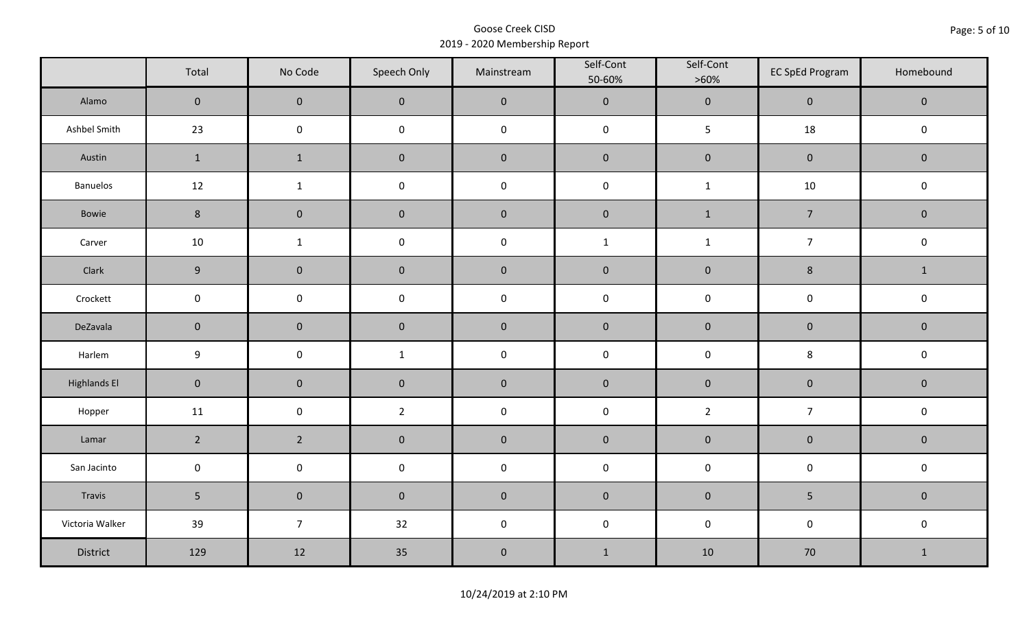|                     | Total               | No Code             | Speech Only         | Mainstream | Self-Cont<br>50-60% | Self-Cont<br>$>60\%$ | <b>EC SpEd Program</b> | Homebound    |
|---------------------|---------------------|---------------------|---------------------|------------|---------------------|----------------------|------------------------|--------------|
| Alamo               | $\mathsf{O}\xspace$ | $\mathbf 0$         | $\mathbf 0$         | $\pmb{0}$  | $\pmb{0}$           | $\pmb{0}$            | $\pmb{0}$              | $\mathbf 0$  |
| Ashbel Smith        | 23                  | $\mathsf{O}\xspace$ | $\mathsf{O}\xspace$ | $\pmb{0}$  | $\pmb{0}$           | 5                    | 18                     | $\pmb{0}$    |
| Austin              | $\mathbf{1}$        | $\mathbf{1}$        | $\pmb{0}$           | $\pmb{0}$  | $\pmb{0}$           | $\pmb{0}$            | $\pmb{0}$              | $\pmb{0}$    |
| Banuelos            | 12                  | $\mathbf{1}$        | $\pmb{0}$           | $\pmb{0}$  | $\pmb{0}$           | $\mathbf 1$          | $10\,$                 | $\pmb{0}$    |
| Bowie               | $\bf 8$             | $\mathbf 0$         | $\pmb{0}$           | $\pmb{0}$  | $\pmb{0}$           | $\mathbf{1}$         | $\overline{7}$         | $\mathbf 0$  |
| Carver              | 10                  | $\mathbf{1}$        | $\pmb{0}$           | $\pmb{0}$  | $\mathbf{1}$        | $\mathbf{1}$         | $\overline{7}$         | $\mathsf 0$  |
| Clark               | 9                   | $\mathbf 0$         | $\mathbf 0$         | $\pmb{0}$  | $\pmb{0}$           | $\pmb{0}$            | $\bf 8$                | $\mathbf{1}$ |
| Crockett            | $\mathsf{O}\xspace$ | $\mathbf 0$         | $\mathbf 0$         | $\pmb{0}$  | $\mathsf 0$         | $\mathsf 0$          | $\pmb{0}$              | $\pmb{0}$    |
| DeZavala            | $\mathbf 0$         | $\mathbf 0$         | $\mathbf 0$         | $\pmb{0}$  | $\pmb{0}$           | $\pmb{0}$            | $\pmb{0}$              | $\pmb{0}$    |
| Harlem              | $\boldsymbol{9}$    | $\mathsf{O}\xspace$ | $\mathbf{1}$        | $\pmb{0}$  | $\pmb{0}$           | $\pmb{0}$            | $\bf 8$                | $\pmb{0}$    |
| <b>Highlands El</b> | $\overline{0}$      | $\mathbf 0$         | $\mathbf 0$         | $\pmb{0}$  | $\pmb{0}$           | $\pmb{0}$            | $\pmb{0}$              | $\mathbf 0$  |
| Hopper              | 11                  | $\mathsf{O}\xspace$ | $\overline{2}$      | $\pmb{0}$  | $\pmb{0}$           | $\overline{2}$       | $\overline{7}$         | $\pmb{0}$    |
| Lamar               | $2^{\circ}$         | $2^{\circ}$         | $\pmb{0}$           | $\pmb{0}$  | $\pmb{0}$           | $\pmb{0}$            | $\pmb{0}$              | $\pmb{0}$    |
| San Jacinto         | $\mathbf 0$         | $\mathbf 0$         | $\mathbf 0$         | $\pmb{0}$  | $\pmb{0}$           | $\pmb{0}$            | $\pmb{0}$              | $\pmb{0}$    |
| Travis              | 5 <sup>1</sup>      | $\mathsf{O}\xspace$ | $\mathbf 0$         | $\pmb{0}$  | $\pmb{0}$           | $\pmb{0}$            | 5                      | $\mathbf 0$  |
| Victoria Walker     | 39                  | $\overline{7}$      | 32                  | $\pmb{0}$  | $\pmb{0}$           | $\pmb{0}$            | $\pmb{0}$              | $\pmb{0}$    |
| District            | 129                 | 12                  | 35                  | $\pmb{0}$  | $1\,$               | 10                   | 70                     | $\mathbf{1}$ |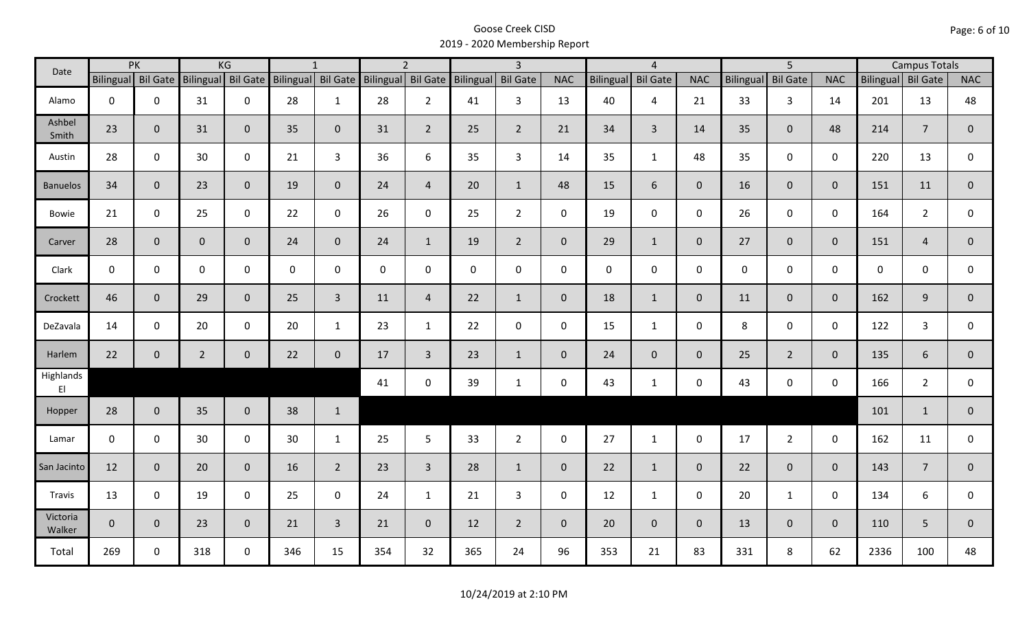| Date               |              | PK                 |                    | KG             |     | $\mathbf{1}$       |             | $\overline{2}$     |                    | $\overline{3}$ |                |             | $\overline{4}$  |                |                  | $\overline{5}$  |                |                    | <b>Campus Totals</b> |                |
|--------------------|--------------|--------------------|--------------------|----------------|-----|--------------------|-------------|--------------------|--------------------|----------------|----------------|-------------|-----------------|----------------|------------------|-----------------|----------------|--------------------|----------------------|----------------|
|                    |              | Bilingual Bil Gate | Bilingual Bil Gate |                |     | Bilingual Bil Gate |             | Bilingual Bil Gate | Bilingual Bil Gate |                | <b>NAC</b>     | Bilingual   | <b>Bil Gate</b> | <b>NAC</b>     | <b>Bilingual</b> | <b>Bil Gate</b> | <b>NAC</b>     | Bilingual Bil Gate |                      | <b>NAC</b>     |
| Alamo              | $\mathbf 0$  | $\mathbf 0$        | 31                 | $\mathbf 0$    | 28  | $\mathbf{1}$       | 28          | $2^{\circ}$        | 41                 | $\mathbf{3}$   | 13             | 40          | $\overline{4}$  | 21             | 33               | $\mathbf{3}$    | 14             | 201                | 13                   | 48             |
| Ashbel<br>Smith    | 23           | $\mathbf 0$        | 31                 | $\mathbf{0}$   | 35  | $\mathbf{0}$       | 31          | $2^{\circ}$        | 25                 | $2^{\circ}$    | 21             | 34          | $\overline{3}$  | 14             | 35               | $\mathbf{0}$    | 48             | 214                | $\overline{7}$       | $\overline{0}$ |
| Austin             | 28           | $\mathbf 0$        | 30                 | $\mathbf 0$    | 21  | 3                  | 36          | 6                  | 35                 | 3              | 14             | 35          | $\mathbf{1}$    | 48             | 35               | $\mathbf 0$     | $\mathbf 0$    | 220                | 13                   | 0              |
| <b>Banuelos</b>    | 34           | $\mathbf{0}$       | 23                 | $\overline{0}$ | 19  | $\mathbf{0}$       | 24          | $\overline{4}$     | 20                 | $\mathbf{1}$   | 48             | 15          | 6               | $\overline{0}$ | 16               | $\overline{0}$  | $\mathbf{0}$   | 151                | 11                   | $\mathbf{0}$   |
| Bowie              | 21           | $\mathbf 0$        | 25                 | $\mathsf 0$    | 22  | $\mathbf 0$        | 26          | $\mathbf 0$        | 25                 | $2^{\circ}$    | $\mathbf 0$    | 19          | $\mathbf 0$     | $\mathbf 0$    | 26               | $\mathbf 0$     | $\mathbf 0$    | 164                | $\overline{2}$       | 0              |
| Carver             | 28           | $\mathbf 0$        | $\overline{0}$     | $\mathbf 0$    | 24  | $\mathbf{0}$       | 24          | $\mathbf{1}$       | 19                 | $2^{\circ}$    | $\overline{0}$ | 29          | $\mathbf{1}$    | $\overline{0}$ | 27               | $\overline{0}$  | $\mathbf{0}$   | 151                | $\overline{4}$       | $\mathbf{0}$   |
| Clark              | $\mathbf 0$  | $\mathbf 0$        | $\mathsf{O}$       | $\mathbf 0$    | 0   | $\mathbf{0}$       | $\mathbf 0$ | $\mathbf 0$        | $\mathbf 0$        | $\mathbf 0$    | $\mathbf 0$    | $\mathbf 0$ | $\mathbf 0$     | $\mathbf 0$    | $\mathbf 0$      | $\mathbf{0}$    | $\mathbf 0$    | 0                  | $\mathbf 0$          | 0              |
| Crockett           | 46           | $\mathbf{0}$       | 29                 | $\mathbf 0$    | 25  | $\overline{3}$     | 11          | $\overline{4}$     | 22                 | $\mathbf{1}$   | $\mathbf{0}$   | 18          | $\mathbf{1}$    | $\overline{0}$ | 11               | $\overline{0}$  | $\overline{0}$ | 162                | 9                    | $\mathbf 0$    |
| DeZavala           | 14           | $\mathbf 0$        | 20                 | $\mathbf 0$    | 20  | $\mathbf{1}$       | 23          | $\mathbf{1}$       | 22                 | 0              | 0              | 15          | $\mathbf{1}$    | $\mathbf 0$    | 8                | $\Omega$        | $\mathbf 0$    | 122                | 3                    | 0              |
| Harlem             | 22           | $\mathbf 0$        | $\overline{2}$     | $\mathbf 0$    | 22  | $\mathbf 0$        | 17          | $\overline{3}$     | 23                 | $\mathbf{1}$   | $\mathbf{0}$   | 24          | $\overline{0}$  | $\mathbf{0}$   | 25               | $2^{\circ}$     | $\overline{0}$ | 135                | 6                    | $\overline{0}$ |
| Highlands<br>EI    |              |                    |                    |                |     |                    | 41          | $\mathbf 0$        | 39                 | $\mathbf{1}$   | $\mathbf 0$    | 43          | $\mathbf{1}$    | $\mathbf 0$    | 43               | $\mathbf 0$     | $\mathbf 0$    | 166                | $\overline{2}$       | 0              |
| Hopper             | 28           | $\mathbf{0}$       | 35                 | $\overline{0}$ | 38  | $\mathbf{1}$       |             |                    |                    |                |                |             |                 |                |                  |                 |                | 101                | $\mathbf{1}$         | $\mathbf 0$    |
| Lamar              | $\mathbf 0$  | $\mathbf 0$        | 30                 | $\mathbf 0$    | 30  | $\mathbf{1}$       | 25          | 5 <sup>1</sup>     | 33                 | $2^{\circ}$    | $\mathbf 0$    | 27          | $\mathbf{1}$    | $\mathbf{0}$   | 17               | $2^{\circ}$     | $\mathbf 0$    | 162                | 11                   | $\mathbf 0$    |
| San Jacinto        | 12           | $\mathbf 0$        | 20                 | $\mathbf{0}$   | 16  | $\overline{2}$     | 23          | $\overline{3}$     | 28                 | $\mathbf{1}$   | $\overline{0}$ | 22          | $\mathbf{1}$    | $\mathbf{0}$   | 22               | $\overline{0}$  | $\mathbf{0}$   | 143                | $\overline{7}$       | $\mathbf{0}$   |
| Travis             | 13           | $\mathbf 0$        | 19                 | $\mathbf 0$    | 25  | 0                  | 24          | $\mathbf{1}$       | 21                 | $\mathbf{3}$   | $\mathsf 0$    | 12          | $\mathbf{1}$    | $\mathbf 0$    | 20               | $\mathbf{1}$    | $\mathbf 0$    | 134                | 6                    | 0              |
| Victoria<br>Walker | $\mathbf{0}$ | $\mathbf 0$        | 23                 | $\overline{0}$ | 21  | $\overline{3}$     | 21          | $\overline{0}$     | 12                 | $2^{\circ}$    | $\overline{0}$ | 20          | $\overline{0}$  | $\overline{0}$ | 13               | $\overline{0}$  | $\overline{0}$ | 110                | 5                    | $\mathbf{0}$   |
| Total              | 269          | 0                  | 318                | $\mathbf 0$    | 346 | 15                 | 354         | 32                 | 365                | 24             | 96             | 353         | 21              | 83             | 331              | 8               | 62             | 2336               | 100                  | 48             |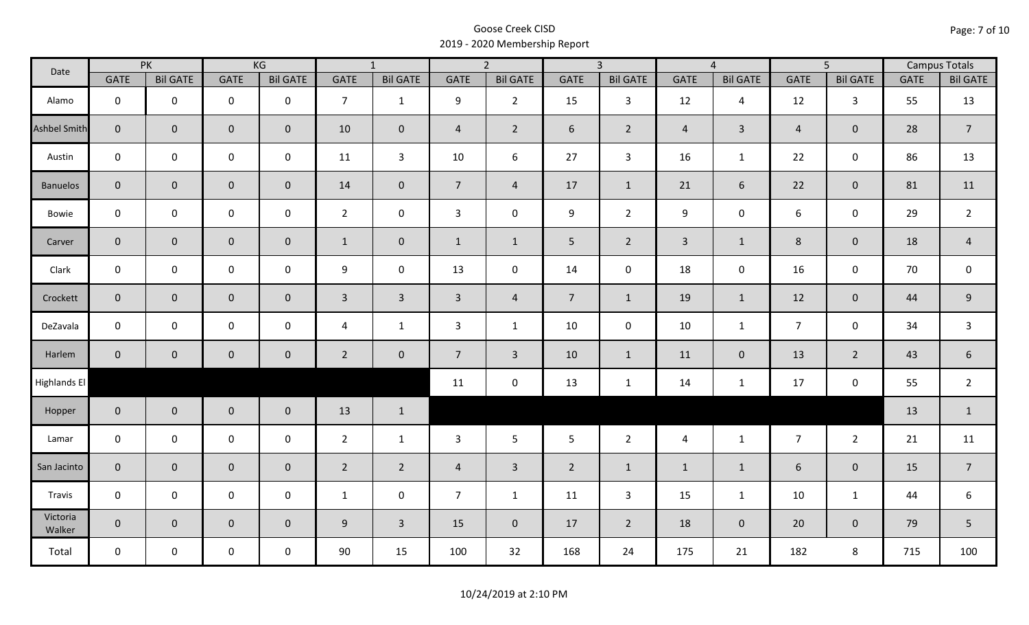| Date               |                | PK              |                     | KG              |                | $\overline{1}$  |                | $\overline{2}$  |                | $\overline{3}$  |                | $\overline{4}$  |                | $\overline{5}$  |             | <b>Campus Totals</b> |
|--------------------|----------------|-----------------|---------------------|-----------------|----------------|-----------------|----------------|-----------------|----------------|-----------------|----------------|-----------------|----------------|-----------------|-------------|----------------------|
|                    | <b>GATE</b>    | <b>Bil GATE</b> | <b>GATE</b>         | <b>Bil GATE</b> | <b>GATE</b>    | <b>Bil GATE</b> | <b>GATE</b>    | <b>Bil GATE</b> | <b>GATE</b>    | <b>Bil GATE</b> | <b>GATE</b>    | <b>Bil GATE</b> | <b>GATE</b>    | <b>Bil GATE</b> | <b>GATE</b> | <b>Bil GATE</b>      |
| Alamo              | $\mathbf{0}$   | $\mathbf 0$     | $\mathbf 0$         | $\mathbf 0$     | $\overline{7}$ | $\mathbf{1}$    | 9              | $\overline{2}$  | 15             | $\mathbf{3}$    | 12             | $\overline{4}$  | 12             | $\mathbf{3}$    | 55          | 13                   |
| Ashbel Smith       | $\mathbf{0}$   | $\overline{0}$  | $\mathbf 0$         | $\overline{0}$  | 10             | $\mathbf 0$     | $\overline{4}$ | $\overline{2}$  | 6              | $2^{\circ}$     | $\overline{4}$ | $\mathbf{3}$    | $\overline{4}$ | $\mathbf{0}$    | 28          | $\overline{7}$       |
| Austin             | $\mathbf 0$    | $\mathbf 0$     | $\mathbf 0$         | $\mathbf 0$     | 11             | $\mathbf{3}$    | 10             | 6               | 27             | $\mathbf{3}$    | 16             | $\mathbf{1}$    | 22             | $\mathbf 0$     | 86          | 13                   |
| <b>Banuelos</b>    | $\overline{0}$ | $\mathbf 0$     | $\mathbf 0$         | $\overline{0}$  | 14             | $\mathbf{0}$    | $\overline{7}$ | $\overline{4}$  | 17             | $\mathbf{1}$    | 21             | 6               | 22             | $\overline{0}$  | 81          | 11                   |
| Bowie              | $\mathbf 0$    | $\mathbf 0$     | $\mathsf{O}\xspace$ | $\mathbf 0$     | $2^{\circ}$    | $\mathbf 0$     | $\mathbf{3}$   | $\mathbf 0$     | 9              | $2^{\circ}$     | 9              | $\pmb{0}$       | 6              | $\mathbf 0$     | 29          | $\overline{2}$       |
| Carver             | $\overline{0}$ | $\mathbf 0$     | $\mathbf 0$         | $\overline{0}$  | $\mathbf{1}$   | $\mathbf 0$     | $\mathbf{1}$   | $\mathbf{1}$    | 5 <sub>1</sub> | $2^{\circ}$     | $\overline{3}$ | $\mathbf{1}$    | $8\phantom{1}$ | $\mathbf{0}$    | 18          | $\overline{4}$       |
| Clark              | $\mathbf 0$    | $\mathbf 0$     | $\pmb{0}$           | $\mathbf 0$     | 9              | $\mathbf 0$     | 13             | $\mathbf 0$     | 14             | $\mathbf 0$     | 18             | $\mathbf 0$     | 16             | $\mathbf 0$     | 70          | $\mathbf 0$          |
| Crockett           | $\overline{0}$ | $\mathbf 0$     | $\mathbf 0$         | $\mathbf{0}$    | $\mathbf{3}$   | $\overline{3}$  | $\overline{3}$ | $\overline{4}$  | 7 <sup>7</sup> | $\mathbf{1}$    | 19             | $\mathbf{1}$    | 12             | $\mathbf 0$     | 44          | $9\,$                |
| DeZavala           | $\mathbf 0$    | $\mathbf 0$     | $\mathbf 0$         | $\mathbf 0$     | 4              | $\mathbf{1}$    | 3              | $\mathbf{1}$    | 10             | $\mathbf 0$     | 10             | $\mathbf{1}$    | $\overline{7}$ | $\mathbf 0$     | 34          | 3                    |
| Harlem             | $\overline{0}$ | $\overline{0}$  | $\mathbf 0$         | $\mathbf{0}$    | $\overline{2}$ | $\overline{0}$  | $\overline{7}$ | $\overline{3}$  | 10             | $\mathbf{1}$    | 11             | $\overline{0}$  | 13             | $\overline{2}$  | 43          | $\boldsymbol{6}$     |
| Highlands El       |                |                 |                     |                 |                |                 | 11             | $\mathbf 0$     | 13             | $\mathbf{1}$    | 14             | $\mathbf{1}$    | 17             | $\mathbf 0$     | 55          | $\overline{2}$       |
| Hopper             | $\overline{0}$ | $\overline{0}$  | $\mathbf 0$         | $\overline{0}$  | 13             | $\mathbf{1}$    |                |                 |                |                 |                |                 |                |                 | 13          | $\mathbf{1}$         |
| Lamar              | $\mathbf 0$    | $\mathbf 0$     | $\mathbf 0$         | $\mathbf 0$     | $2^{\circ}$    | $\mathbf{1}$    | 3              | 5               | 5              | $\overline{2}$  | $\overline{4}$ | $\mathbf{1}$    | $\overline{7}$ | $2^{\circ}$     | 21          | 11                   |
| San Jacinto        | $\mathbf 0$    | $\overline{0}$  | $\mathbf 0$         | $\mathbf 0$     | $\overline{2}$ | $\overline{2}$  | $\overline{a}$ | $\overline{3}$  | $\overline{2}$ | $\mathbf{1}$    | $\mathbf{1}$   | $\mathbf{1}$    | 6              | $\mathbf 0$     | 15          | $\overline{7}$       |
| Travis             | $\mathbf 0$    | $\mathbf 0$     | $\mathsf{O}\xspace$ | $\mathbf 0$     | $\mathbf{1}$   | $\mathbf 0$     | $\overline{7}$ | $\mathbf{1}$    | 11             | $\mathbf{3}$    | 15             | $\mathbf{1}$    | 10             | $\mathbf{1}$    | 44          | 6                    |
| Victoria<br>Walker | $\overline{0}$ | $\mathbf 0$     | $\mathbf 0$         | $\overline{0}$  | 9              | $\overline{3}$  | 15             | $\mathbf{0}$    | 17             | $\overline{2}$  | 18             | $\mathbf 0$     | 20             | $\overline{0}$  | 79          | 5                    |
| Total              | $\mathbf 0$    | $\mathbf 0$     | $\mathsf{O}$        | $\mathbf 0$     | 90             | 15              | 100            | 32              | 168            | 24              | 175            | 21              | 182            | 8               | 715         | 100                  |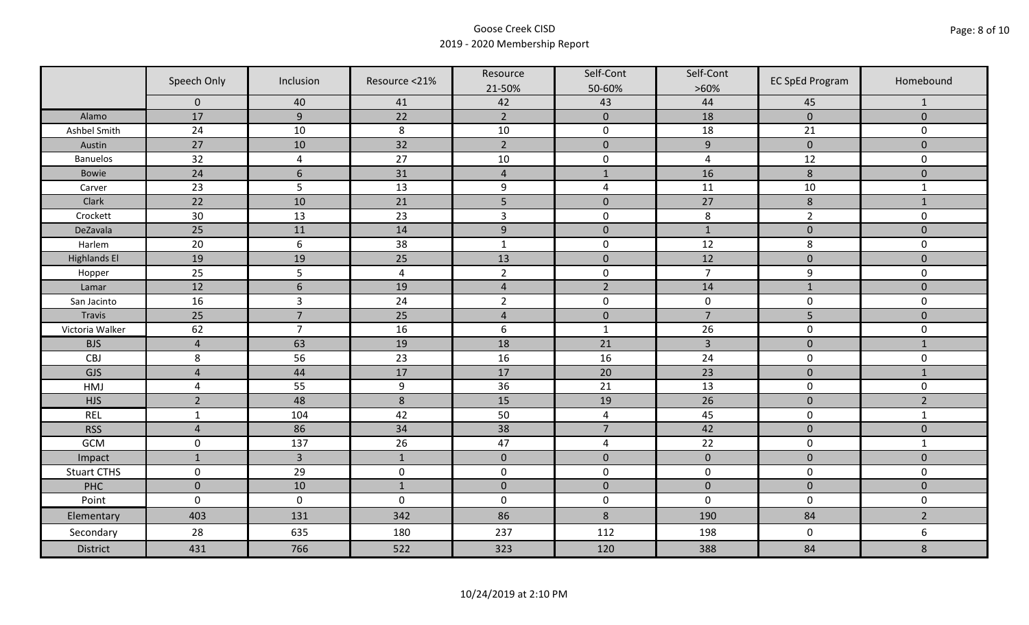|                     | Speech Only    | Inclusion        | Resource <21%   | Resource<br>21-50% | Self-Cont<br>50-60% | Self-Cont<br>$>60\%$ | <b>EC SpEd Program</b> | Homebound           |
|---------------------|----------------|------------------|-----------------|--------------------|---------------------|----------------------|------------------------|---------------------|
|                     | $\mathbf 0$    | 40               | 41              | 42                 | 43                  | 44                   | 45                     | $\mathbf{1}$        |
| Alamo               | 17             | $\overline{9}$   | 22              | $\overline{2}$     | $\pmb{0}$           | 18                   | $\pmb{0}$              | $\mathbf{0}$        |
| Ashbel Smith        | 24             | 10               | $\,8\,$         | $10\,$             | $\pmb{0}$           | 18                   | 21                     | 0                   |
| Austin              | 27             | 10               | 32              | $\overline{2}$     | $\pmb{0}$           | $\overline{9}$       | $\pmb{0}$              | $\overline{0}$      |
| <b>Banuelos</b>     | 32             | $\overline{4}$   | 27              | $10\,$             | $\pmb{0}$           | $\pmb{4}$            | 12                     | $\mathbf 0$         |
| <b>Bowie</b>        | 24             | $\boldsymbol{6}$ | 31              | $\sqrt{4}$         | $1\,$               | 16                   | $\bf 8$                | $\pmb{0}$           |
| Carver              | 23             | 5                | 13              | $\boldsymbol{9}$   | $\sqrt{4}$          | 11                   | 10                     | $\mathbf{1}$        |
| Clark               | 22             | 10               | 21              | 5                  | $\pmb{0}$           | 27                   | $\bf 8$                | $1\,$               |
| Crockett            | 30             | 13               | 23              | $\overline{3}$     | $\pmb{0}$           | 8                    | $\overline{2}$         | 0                   |
| DeZavala            | 25             | 11               | 14              | $\boldsymbol{9}$   | $\pmb{0}$           | $\mathbf{1}$         | $\pmb{0}$              | $\overline{0}$      |
| Harlem              | 20             | $\sqrt{6}$       | 38              | $\mathbf 1$        | $\pmb{0}$           | 12                   | 8                      | 0                   |
| <b>Highlands El</b> | 19             | 19               | $\overline{25}$ | 13                 | $\pmb{0}$           | 12                   | $\pmb{0}$              | $\overline{0}$      |
| Hopper              | 25             | 5                | $\overline{4}$  | $\overline{2}$     | $\pmb{0}$           | $\overline{7}$       | 9                      | 0                   |
| Lamar               | 12             | $6\phantom{1}6$  | 19              | $\sqrt{4}$         | $\overline{2}$      | 14                   | $1\,$                  | $\mathbf 0$         |
| San Jacinto         | 16             | $\overline{3}$   | 24              | $\overline{2}$     | $\pmb{0}$           | $\pmb{0}$            | $\pmb{0}$              | 0                   |
| Travis              | 25             | $\overline{7}$   | 25              | $\sqrt{4}$         | $\pmb{0}$           | $\overline{7}$       | 5                      | $\pmb{0}$           |
| Victoria Walker     | 62             | $\overline{7}$   | 16              | $\boldsymbol{6}$   | $\mathbf 1$         | 26                   | $\pmb{0}$              | 0                   |
| <b>BJS</b>          | $\overline{4}$ | 63               | 19              | 18                 | 21                  | $\overline{3}$       | $\pmb{0}$              | $\mathbf{1}$        |
| CBJ                 | 8              | 56               | 23              | 16                 | 16                  | 24                   | $\pmb{0}$              | 0                   |
| GJS                 | $\overline{4}$ | 44               | 17              | 17                 | 20                  | 23                   | $\mathbf 0$            | $\mathbf{1}$        |
| HMJ                 | $\overline{4}$ | 55               | 9               | 36                 | 21                  | 13                   | $\pmb{0}$              | 0                   |
| <b>HJS</b>          | $\overline{2}$ | 48               | 8               | 15                 | 19                  | 26                   | $\pmb{0}$              | $\overline{2}$      |
| <b>REL</b>          | $\mathbf{1}$   | 104              | 42              | 50                 | $\overline{4}$      | 45                   | $\pmb{0}$              | $\mathbf{1}$        |
| <b>RSS</b>          | $\overline{4}$ | 86               | 34              | 38                 | $\overline{7}$      | 42                   | $\pmb{0}$              | $\mathbf 0$         |
| GCM                 | $\mathsf 0$    | 137              | 26              | 47                 | 4                   | 22                   | $\pmb{0}$              | $\mathbf{1}$        |
| Impact              | $\mathbf{1}$   | $\overline{3}$   | $\mathbf{1}$    | $\mathbf 0$        | $\pmb{0}$           | $\pmb{0}$            | $\mathbf 0$            | $\overline{0}$      |
| <b>Stuart CTHS</b>  | $\mathsf 0$    | 29               | $\pmb{0}$       | $\pmb{0}$          | $\pmb{0}$           | $\pmb{0}$            | $\pmb{0}$              | 0                   |
| PHC                 | $\mathbf 0$    | 10               | $1\,$           | $\pmb{0}$          | $\pmb{0}$           | $\pmb{0}$            | $\pmb{0}$              | $\mathsf{O}\xspace$ |
| Point               | $\mathbf 0$    | $\mathbf 0$      | $\mathbf 0$     | $\boldsymbol{0}$   | $\pmb{0}$           | $\mathbf 0$          | $\mathbf 0$            | 0                   |
| Elementary          | 403            | 131              | 342             | 86                 | $8\phantom{1}$      | 190                  | 84                     | $\overline{2}$      |
| Secondary           | 28             | 635              | 180             | 237                | 112                 | 198                  | $\mathbf 0$            | 6                   |
| <b>District</b>     | 431            | 766              | 522             | 323                | 120                 | 388                  | 84                     | 8                   |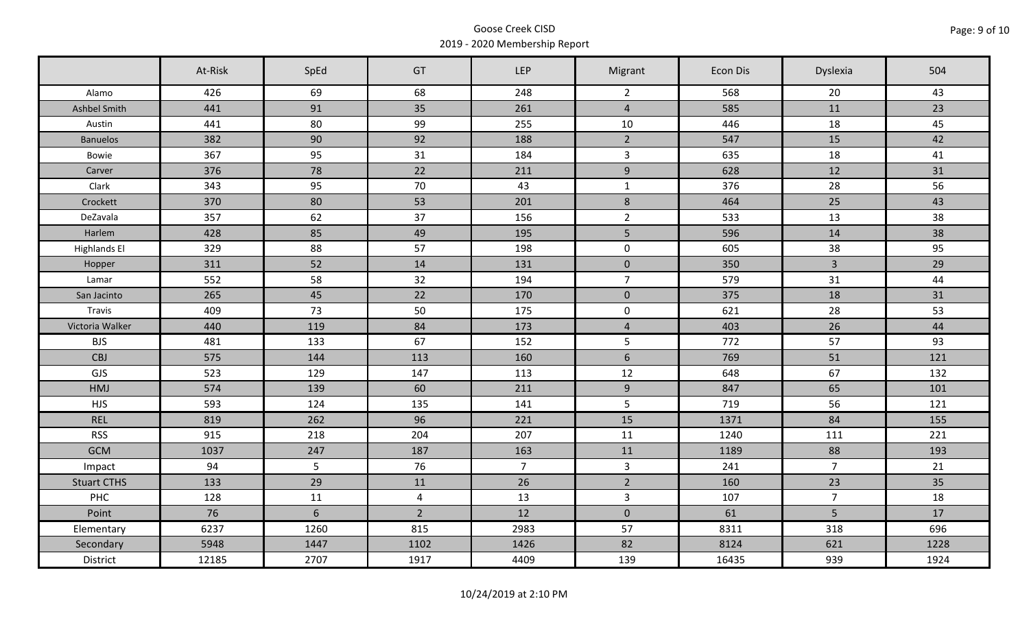|                     | At-Risk | SpEd | GT             | <b>LEP</b>     | Migrant             | Econ Dis | Dyslexia       | 504  |
|---------------------|---------|------|----------------|----------------|---------------------|----------|----------------|------|
| Alamo               | 426     | 69   | 68             | 248            | $\overline{2}$      | 568      | 20             | 43   |
| Ashbel Smith        | 441     | 91   | 35             | 261            | $\overline{4}$      | 585      | 11             | 23   |
| Austin              | 441     | 80   | 99             | 255            | 10                  | 446      | 18             | 45   |
| <b>Banuelos</b>     | 382     | 90   | 92             | 188            | $\overline{2}$      | 547      | 15             | 42   |
| Bowie               | 367     | 95   | 31             | 184            | $\overline{3}$      | 635      | 18             | 41   |
| Carver              | 376     | 78   | 22             | 211            | 9                   | 628      | 12             | 31   |
| Clark               | 343     | 95   | 70             | 43             | $\mathbf{1}$        | 376      | 28             | 56   |
| Crockett            | 370     | 80   | 53             | 201            | $\,8\,$             | 464      | 25             | 43   |
| DeZavala            | 357     | 62   | 37             | 156            | $\overline{2}$      | 533      | 13             | 38   |
| Harlem              | 428     | 85   | 49             | 195            | 5 <sub>1</sub>      | 596      | 14             | 38   |
| <b>Highlands El</b> | 329     | 88   | 57             | 198            | $\mathbf 0$         | 605      | 38             | 95   |
| Hopper              | 311     | 52   | 14             | 131            | $\mathbf 0$         | 350      | $\mathbf{3}$   | 29   |
| Lamar               | 552     | 58   | 32             | 194            | $\overline{7}$      | 579      | 31             | 44   |
| San Jacinto         | 265     | 45   | 22             | 170            | $\pmb{0}$           | 375      | 18             | 31   |
| Travis              | 409     | 73   | 50             | 175            | $\mathsf{O}\xspace$ | 621      | 28             | 53   |
| Victoria Walker     | 440     | 119  | 84             | 173            | $\overline{4}$      | 403      | 26             | 44   |
| <b>BJS</b>          | 481     | 133  | 67             | 152            | $5\phantom{.}$      | 772      | 57             | 93   |
| CBJ                 | 575     | 144  | 113            | 160            | $6\phantom{a}$      | 769      | 51             | 121  |
| GJS                 | 523     | 129  | 147            | 113            | 12                  | 648      | 67             | 132  |
| HMJ                 | 574     | 139  | 60             | 211            | 9                   | 847      | 65             | 101  |
| <b>HJS</b>          | 593     | 124  | 135            | 141            | 5                   | 719      | 56             | 121  |
| <b>REL</b>          | 819     | 262  | 96             | 221            | 15                  | 1371     | 84             | 155  |
| <b>RSS</b>          | 915     | 218  | 204            | 207            | 11                  | 1240     | 111            | 221  |
| <b>GCM</b>          | 1037    | 247  | 187            | 163            | 11                  | 1189     | 88             | 193  |
| Impact              | 94      | 5    | 76             | 7 <sup>7</sup> | $\mathbf{3}$        | 241      | $\overline{7}$ | 21   |
| <b>Stuart CTHS</b>  | 133     | 29   | 11             | 26             | $\overline{2}$      | 160      | 23             | 35   |
| PHC                 | 128     | 11   | $\overline{4}$ | 13             | $\mathbf{3}$        | 107      | $\overline{7}$ | 18   |
| Point               | 76      | 6    | $\overline{2}$ | 12             | $\mathbf 0$         | 61       | 5              | 17   |
| Elementary          | 6237    | 1260 | 815            | 2983           | 57                  | 8311     | 318            | 696  |
| Secondary           | 5948    | 1447 | 1102           | 1426           | 82                  | 8124     | 621            | 1228 |
| District            | 12185   | 2707 | 1917           | 4409           | 139                 | 16435    | 939            | 1924 |